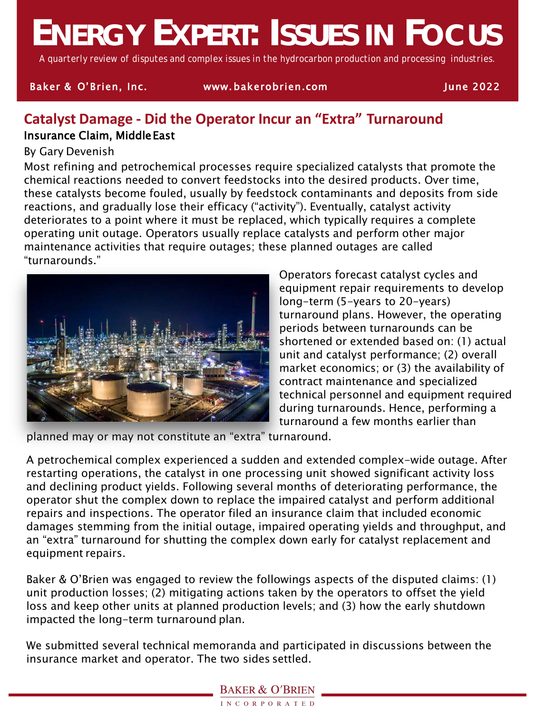# **ENERGY EXPERT: ISSUES IN FOCUS**

*A quarterly review of disputes and complex issues in the hydrocarbon production and processing industries.*

#### Baker & O'Brien, Inc. www. bakerobrien.com June 2022

### **Catalyst Damage - Did the Operator Incur an "Extra" Turnaround** Insurance Claim, MiddleEast

#### By Gary Devenish

Most refining and petrochemical processes require specialized catalysts that promote the chemical reactions needed to convert feedstocks into the desired products. Over time, these catalysts become fouled, usually by feedstock contaminants and deposits from side reactions, and gradually lose their efficacy ("activity"). Eventually, catalyst activity deteriorates to a point where it must be replaced, which typically requires a complete operating unit outage. Operators usually replace catalysts and perform other major maintenance activities that require outages; these planned outages are called "turnarounds."



Operators forecast catalyst cycles and equipment repair requirements to develop long-term (5-years to 20-years) turnaround plans. However, the operating periods between turnarounds can be shortened or extended based on: (1) actual unit and catalyst performance; (2) overall market economics; or (3) the availability of contract maintenance and specialized technical personnel and equipment required during turnarounds. Hence, performing a turnaround a few months earlier than

planned may or may not constitute an "extra" turnaround.

A petrochemical complex experienced a sudden and extended complex-wide outage. After restarting operations, the catalyst in one processing unit showed significant activity loss and declining product yields. Following several months of deteriorating performance, the operator shut the complex down to replace the impaired catalyst and perform additional repairs and inspections. The operator filed an insurance claim that included economic damages stemming from the initial outage, impaired operating yields and throughput, and an "extra" turnaround for shutting the complex down early for catalyst replacement and equipment repairs.

Baker & O'Brien was engaged to review the followings aspects of the disputed claims: (1) unit production losses; (2) mitigating actions taken by the operators to offset the yield loss and keep other units at planned production levels; and (3) how the early shutdown impacted the long-term turnaround plan.

We submitted several technical memoranda and participated in discussions between the insurance market and operator. The two sides settled.

#### **BAKER & O'BRIEN**

INCORPORATED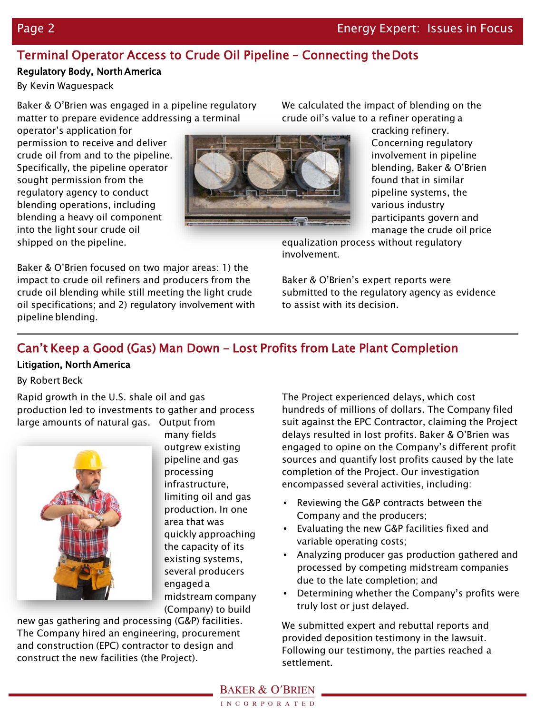## Terminal Operator Access to Crude Oil Pipeline – Connecting theDots

#### Regulatory Body, NorthAmerica

By Kevin Waguespack

Baker & O'Brien was engaged in a pipeline regulatory matter to prepare evidence addressing a terminal

operator's application for permission to receive and deliver crude oil from and to the pipeline. Specifically, the pipeline operator sought permission from the regulatory agency to conduct blending operations, including blending a heavy oil component into the light sour crude oil shipped on the pipeline.



We calculated the impact of blending on the crude oil's value to a refiner operating a

> cracking refinery. Concerning regulatory involvement in pipeline blending, Baker & O'Brien found that in similar pipeline systems, the various industry participants govern and manage the crude oil price

equalization process without regulatory involvement.

Baker & O'Brien focused on two major areas: 1) the impact to crude oil refiners and producers from the crude oil blending while still meeting the light crude oil specifications; and 2) regulatory involvement with pipeline blending.

Baker & O'Brien's expert reports were submitted to the regulatory agency as evidence to assist with its decision.

## Can't Keep a Good (Gas) Man Down – Lost Profits from Late Plant Completion

#### Litigation, North America

By Robert Beck

Rapid growth in the U.S. shale oil and gas production led to investments to gather and process large amounts of natural gas. Output from



many fields outgrew existing pipeline and gas processing infrastructure, limiting oil and gas production. In one area that was quickly approaching the capacity of its existing systems, several producers engageda midstream company (Company) to build

new gas gathering and processing (G&P) facilities. The Company hired an engineering, procurement and construction (EPC) contractor to design and construct the new facilities (the Project).

The Project experienced delays, which cost hundreds of millions of dollars. The Company filed suit against the EPC Contractor, claiming the Project delays resulted in lost profits. Baker & O'Brien was engaged to opine on the Company's different profit sources and quantify lost profits caused by the late completion of the Project. Our investigation encompassed several activities, including:

- Reviewing the G&P contracts between the Company and the producers;
- Evaluating the new G&P facilities fixed and variable operating costs;
- Analyzing producer gas production gathered and processed by competing midstream companies due to the late completion; and
- Determining whether the Company's profits were truly lost or just delayed.

We submitted expert and rebuttal reports and provided deposition testimony in the lawsuit. Following our testimony, the parties reached a settlement.

**BAKER & O'BRIEN**